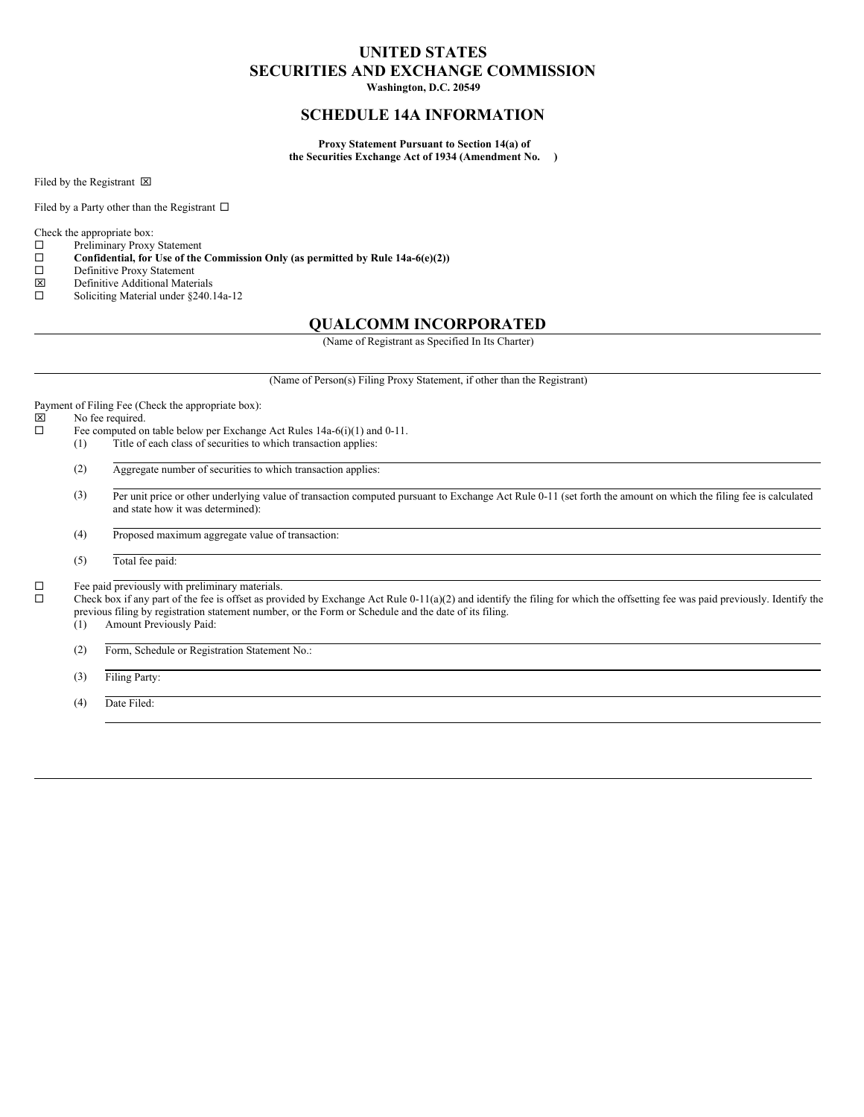## **UNITED STATES SECURITIES AND EXCHANGE COMMISSION**

**Washington, D.C. 20549**

## **SCHEDULE 14A INFORMATION**

**Proxy Statement Pursuant to Section 14(a) of the Securities Exchange Act of 1934 (Amendment No. )**

Filed by the Registrant  $\boxtimes$ 

Filed by a Party other than the Registrant  $\Box$ 

Check the appropriate box:

 $\square$  Preliminary Proxy Statement<br> $\square$  Confidential, for Use of the ¨ **Confidential, for Use of the Commission Only (as permitted by Rule 14a-6(e)(2))**

- □ Definitive Proxy Statement
- x Definitive Additional Materials
- □ Soliciting Material under §240.14a-12

#### **QUALCOMM INCORPORATED**

(Name of Registrant as Specified In Its Charter)

(Name of Person(s) Filing Proxy Statement, if other than the Registrant)

Payment of Filing Fee (Check the appropriate box):<br> $[\overline{\mathbb{X}}]$  No fee required.

No fee required.

- $\Box$  Fee computed on table below per Exchange Act Rules 14a-6(i)(1) and 0-11.
	- (1) Title of each class of securities to which transaction applies:
	- (2) Aggregate number of securities to which transaction applies:
	- (3) Per unit price or other underlying value of transaction computed pursuant to Exchange Act Rule 0-11 (set forth the amount on which the filing fee is calculated and state how it was determined):
	- (4) Proposed maximum aggregate value of transaction:
	- (5) Total fee paid:

 $\square$  Fee paid previously with preliminary materials.<br> $\square$  Check box if any part of the fee is offset as prov

Check box if any part of the fee is offset as provided by Exchange Act Rule 0-11(a)(2) and identify the filing for which the offsetting fee was paid previously. Identify the previous filing by registration statement number, or the Form or Schedule and the date of its filing.

(1) Amount Previously Paid:

(2) Form, Schedule or Registration Statement No.:

(3) Filing Party:

(4) Date Filed: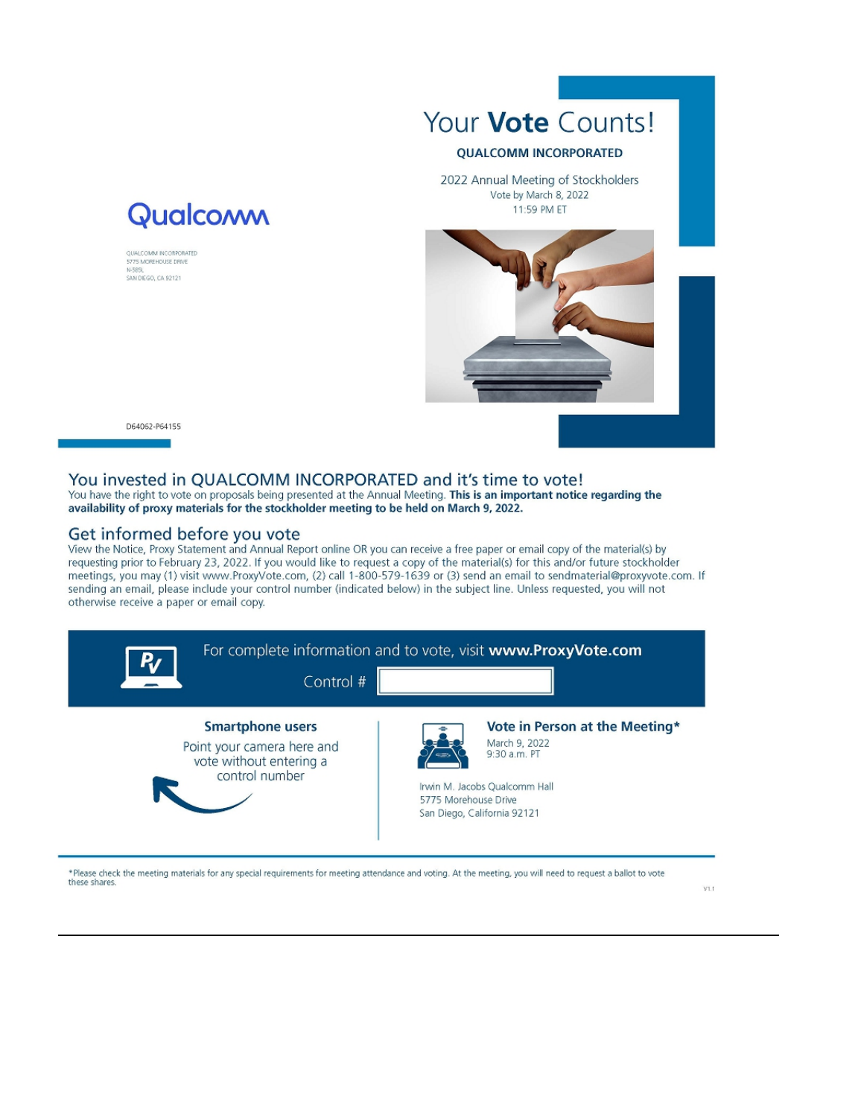

#### **QUALCOMM INCORPORATED**

2022 Annual Meeting of Stockholders Vote by March 8, 2022 11:59 PM ET



D64062-P64155

QUALCOMM INCORPORATED<br>5775 MOREHOUSE DRIVE SAN DIEGO, CA 92121

### You invested in QUALCOMM INCORPORATED and it's time to vote!

You have the right to vote on proposals being presented at the Annual Meeting. This is an important notice regarding the availability of proxy materials for the stockholder meeting to be held on March 9, 2022.

#### Get informed before you vote

**Qualcoww** 

View the Notice, Proxy Statement and Annual Report online OR you can receive a free paper or email copy of the material(s) by requesting prior to February 23, 2022. If you would like to request a copy of the material(s) for this and/or future stockholder meetings, you may (1) visit www.ProxyVote.com, (2) call 1-800-579-1639 or (3) send an email to sendmaterial@proxyvote.com. If sending an email, please include your control number (indicated below) in the subject line. Unless requested, you will not otherwise receive a paper or email copy.



\*Please check the meeting materials for any special requirements for meeting attendance and voting. At the meeting, you will need to request a ballot to vote these shares